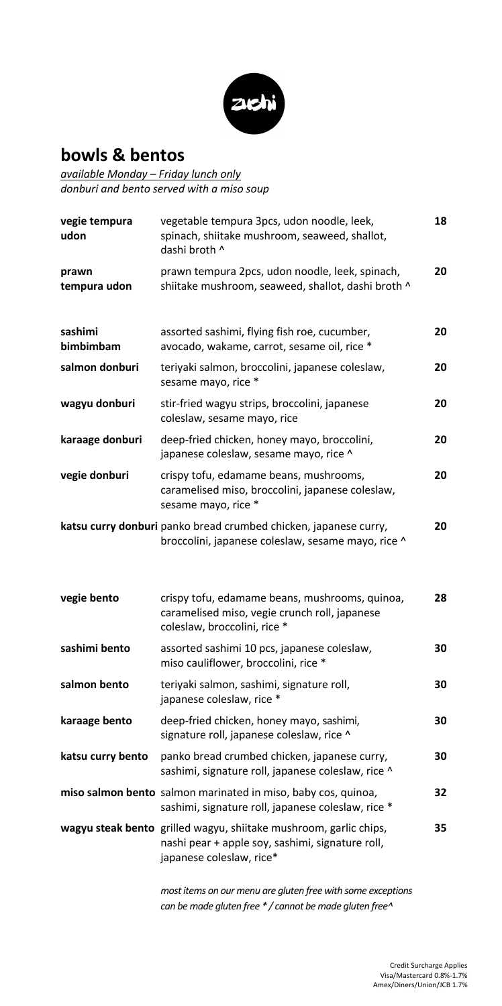

## **bowls & bentos**

*available Monday – Friday lunch only donburi and bento served with a miso soup*

| vegie tempura<br>udon | vegetable tempura 3pcs, udon noodle, leek,<br>spinach, shiitake mushroom, seaweed, shallot,<br>dashi broth ^                                      | 18 |
|-----------------------|---------------------------------------------------------------------------------------------------------------------------------------------------|----|
| prawn<br>tempura udon | prawn tempura 2pcs, udon noodle, leek, spinach,<br>shiitake mushroom, seaweed, shallot, dashi broth ^                                             | 20 |
| sashimi<br>bimbimbam  | assorted sashimi, flying fish roe, cucumber,<br>avocado, wakame, carrot, sesame oil, rice *                                                       | 20 |
| salmon donburi        | teriyaki salmon, broccolini, japanese coleslaw,<br>sesame mayo, rice *                                                                            | 20 |
| wagyu donburi         | stir-fried wagyu strips, broccolini, japanese<br>coleslaw, sesame mayo, rice                                                                      | 20 |
| karaage donburi       | deep-fried chicken, honey mayo, broccolini,<br>japanese coleslaw, sesame mayo, rice ^                                                             | 20 |
| vegie donburi         | crispy tofu, edamame beans, mushrooms,<br>caramelised miso, broccolini, japanese coleslaw,<br>sesame mayo, rice *                                 | 20 |
|                       | katsu curry donburi panko bread crumbed chicken, japanese curry,<br>broccolini, japanese coleslaw, sesame mayo, rice ^                            | 20 |
| vegie bento           | crispy tofu, edamame beans, mushrooms, quinoa,<br>caramelised miso, vegie crunch roll, japanese<br>coleslaw, broccolini, rice *                   | 28 |
| sashimi bento         | assorted sashimi 10 pcs, japanese coleslaw,<br>miso cauliflower, broccolini, rice *                                                               | 30 |
| salmon bento          | teriyaki salmon, sashimi, signature roll,<br>japanese coleslaw, rice *                                                                            | 30 |
| karaage bento         | deep-fried chicken, honey mayo, sashimi,<br>signature roll, japanese coleslaw, rice ^                                                             | 30 |
| katsu curry bento     | panko bread crumbed chicken, japanese curry,<br>sashimi, signature roll, japanese coleslaw, rice ^                                                | 30 |
|                       | miso salmon bento salmon marinated in miso, baby cos, quinoa,<br>sashimi, signature roll, japanese coleslaw, rice *                               | 32 |
|                       | wagyu steak bento grilled wagyu, shiitake mushroom, garlic chips,<br>nashi pear + apple soy, sashimi, signature roll,<br>japanese coleslaw, rice* | 35 |

*most items on our menu are gluten free with some exceptions can be made gluten free \* / cannot be made gluten free^*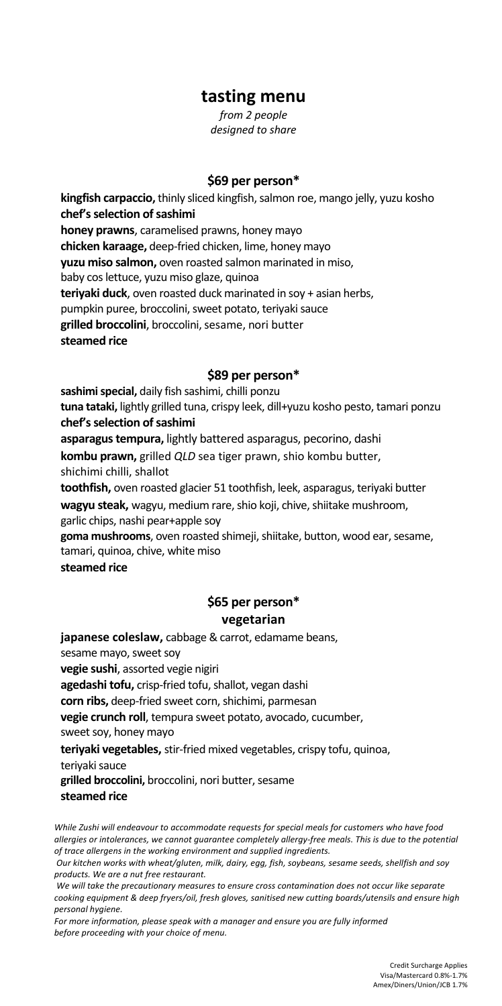### **tasting menu**

*from 2 people designed to share*

#### **\$69 per person\***

**kingfish carpaccio,** thinly sliced kingfish, salmon roe, mango jelly, yuzu kosho **chef's selection of sashimi honey prawns**, caramelised prawns, honey mayo **chicken karaage,** deep-fried chicken, lime, honey mayo **yuzu miso salmon,** oven roasted salmon marinated in miso, baby cos lettuce, yuzu miso glaze, quinoa **teriyaki duck**, oven roasted duck marinated in soy + asian herbs, pumpkin puree, broccolini, sweet potato, teriyaki sauce **grilled broccolini**, broccolini, sesame, nori butter **steamed rice**

#### **\$89 per person\***

**sashimi special,** daily fish sashimi, chilli ponzu **tuna tataki,** lightly grilled tuna, crispy leek, dill+yuzu kosho pesto, tamari ponzu **chef's selection of sashimi asparagus tempura,** lightly battered asparagus, pecorino, dashi **kombu prawn,** grilled *QLD* sea tiger prawn, shio kombu butter, shichimi chilli, shallot **toothfish,** oven roasted glacier 51 toothfish, leek, asparagus, teriyaki butter

**wagyu steak,** wagyu, medium rare, shio koji, chive, shiitake mushroom, garlic chips, nashi pear+apple soy

**goma mushrooms**, oven roasted shimeji, shiitake, button, wood ear, sesame, tamari, quinoa, chive, white miso

**steamed rice**

### **\$65 per person\* vegetarian**

**japanese coleslaw,** cabbage & carrot, edamame beans, sesame mayo, sweet soy **vegie sushi**, assorted vegie nigiri **agedashi tofu,** crisp-fried tofu, shallot, vegan dashi **corn ribs,** deep-fried sweet corn, shichimi, parmesan **vegie crunch roll**, tempura sweet potato, avocado, cucumber, sweet soy, honey mayo **teriyaki vegetables,** stir-fried mixed vegetables, crispy tofu, quinoa, teriyaki sauce **grilled broccolini,** broccolini, nori butter, sesame **steamed rice**

*While Zushi will endeavour to accommodate requests for special meals for customers who have food allergies or intolerances, we cannot guarantee completely allergy-free meals. This is due to the potential of trace allergens in the working environment and supplied ingredients.*

*Our kitchen works with wheat/gluten, milk, dairy, egg, fish, soybeans, sesame seeds, shellfish and soy products. We are a nut free restaurant.*

*We will take the precautionary measures to ensure cross contamination does not occur like separate cooking equipment & deep fryers/oil, fresh gloves, sanitised new cutting boards/utensils and ensure high personal hygiene.* 

*For more information, please speak with a manager and ensure you are fully informed before proceeding with your choice of menu.*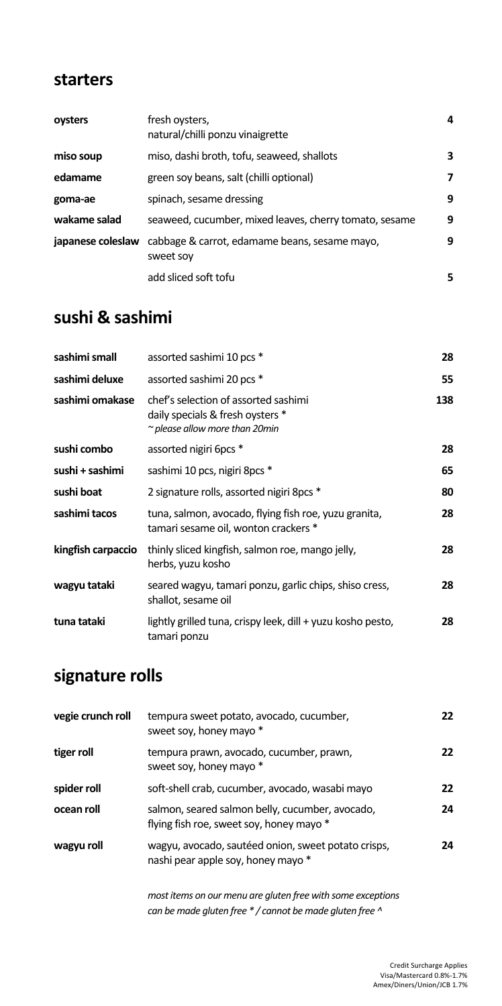### **starters**

| oysters           | fresh oysters,<br>natural/chilli ponzu vinaigrette         | 4 |
|-------------------|------------------------------------------------------------|---|
| miso soup         | miso, dashi broth, tofu, seaweed, shallots                 | 3 |
| edamame           | green soy beans, salt (chilli optional)                    | 7 |
| goma-ae           | spinach, sesame dressing                                   | 9 |
| wakame salad      | seaweed, cucumber, mixed leaves, cherry tomato, sesame     | 9 |
| japanese coleslaw | cabbage & carrot, edamame beans, sesame mayo,<br>sweet soy | 9 |
|                   | add sliced soft tofu                                       | 5 |

# **sushi & sashimi**

| sashimi small      | assorted sashimi 10 pcs *                                                                                       | 28  |
|--------------------|-----------------------------------------------------------------------------------------------------------------|-----|
| sashimi deluxe     | assorted sashimi 20 pcs *                                                                                       | 55  |
| sashimi omakase    | chef's selection of assorted sashimi<br>daily specials & fresh oysters *<br>$\sim$ please allow more than 20min | 138 |
| sushi combo        | assorted nigiri 6pcs *                                                                                          | 28  |
| sushi + sashimi    | sashimi 10 pcs, nigiri 8pcs *                                                                                   | 65  |
| sushi boat         | 2 signature rolls, assorted nigiri 8pcs *                                                                       | 80  |
| sashimi tacos      | tuna, salmon, avocado, flying fish roe, yuzu granita,<br>tamari sesame oil, wonton crackers *                   | 28  |
| kingfish carpaccio | thinly sliced kingfish, salmon roe, mango jelly,<br>herbs, yuzu kosho                                           | 28  |
| wagyu tataki       | seared wagyu, tamari ponzu, garlic chips, shiso cress,<br>shallot, sesame oil                                   | 28  |
| tuna tataki        | lightly grilled tuna, crispy leek, dill + yuzu kosho pesto,<br>tamari ponzu                                     | 28  |

# **signature rolls**

| vegie crunch roll | tempura sweet potato, avocado, cucumber,<br>sweet soy, honey mayo *                         | 22  |
|-------------------|---------------------------------------------------------------------------------------------|-----|
| tiger roll        | tempura prawn, avocado, cucumber, prawn,<br>sweet soy, honey mayo *                         | 22  |
| spider roll       | soft-shell crab, cucumber, avocado, wasabi mayo                                             | 22  |
| ocean roll        | salmon, seared salmon belly, cucumber, avocado,<br>flying fish roe, sweet soy, honey mayo * | 24  |
| wagyu roll        | wagyu, avocado, sautéed onion, sweet potato crisps,<br>nashi pear apple soy, honey mayo *   | 24. |

*most items on our menu are gluten free with some exceptions can be made gluten free \* / cannot be made gluten free ^*